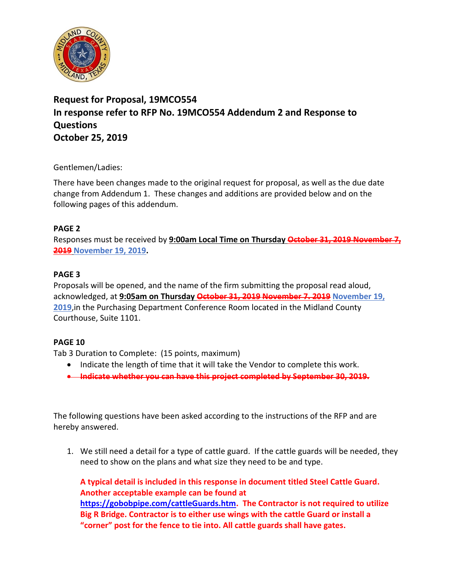

# **Request for Proposal, 19MCO554 In response refer to RFP No. 19MCO554 Addendum 2 and Response to Questions October 25, 2019**

#### Gentlemen/Ladies:

There have been changes made to the original request for proposal, as well as the due date change from Addendum 1. These changes and additions are provided below and on the following pages of this addendum.

### **PAGE 2**

Responses must be received by 9:00am Local Time on Thursday October 31, 2019 Novembe **2019 November 19, 2019.**

### **PAGE 3**

Proposals will be opened, and the name of the firm submitting the proposal read aloud, acknowledged, at **9:05am on Thursday October 31, 2019 November 7. 2019 November 19, 2019**,in the Purchasing Department Conference Room located in the Midland County Courthouse, Suite 1101.

## **PAGE 10**

Tab 3 Duration to Complete: (15 points, maximum)

- Indicate the length of time that it will take the Vendor to complete this work.
- **Indicate whether you can have this project completed by September 30, 2019.**

The following questions have been asked according to the instructions of the RFP and are hereby answered.

1. We still need a detail for a type of cattle guard. If the cattle guards will be needed, they need to show on the plans and what size they need to be and type.

**A typical detail is included in this response in document titled Steel Cattle Guard. Another acceptable example can be found at [https://gobobpipe.com/cattleGuards.htm.](https://gobobpipe.com/cattleGuards.htm) The Contractor is not required to utilize Big R Bridge. Contractor is to either use wings with the cattle Guard or install a "corner" post for the fence to tie into. All cattle guards shall have gates.**